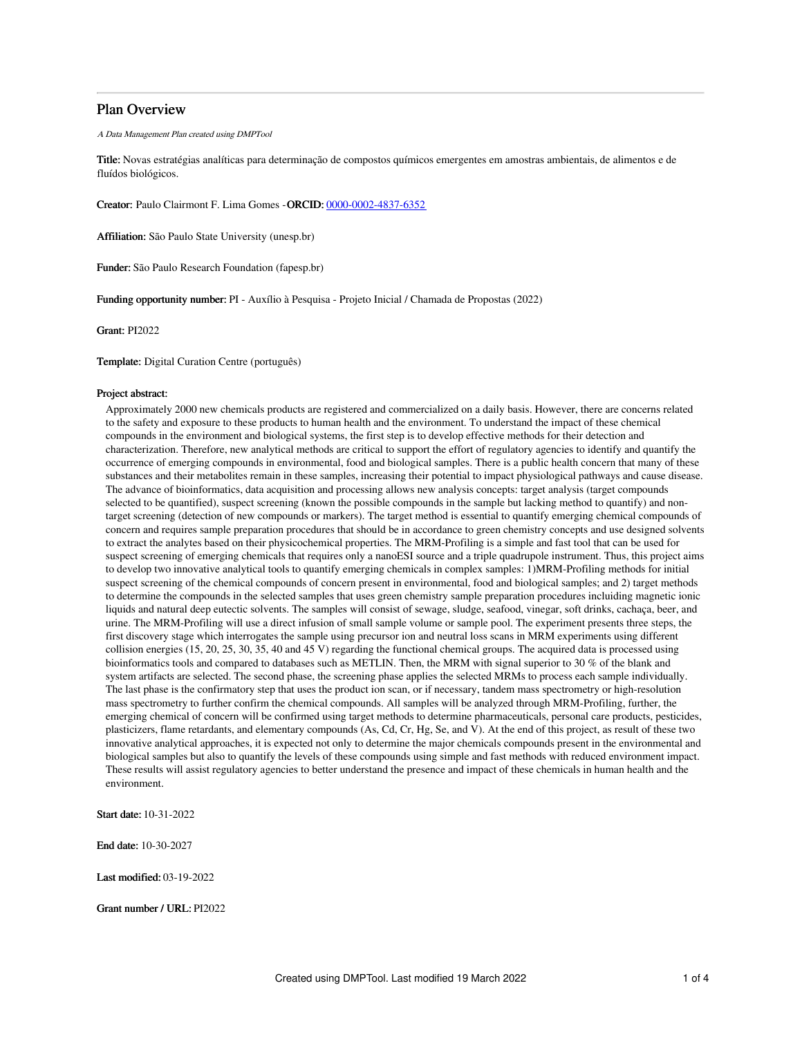# Plan Overview

A Data Management Plan created using DMPTool

Title: Novas estratégias analíticas para determinação de compostos químicos emergentes em amostras ambientais, de alimentos e de fluídos biológicos.

Creator: Paulo Clairmont F. Lima Gomes -ORCID: [0000-0002-4837-6352](https://orcid.org/0000-0002-4837-6352)

Affiliation: São Paulo State University (unesp.br)

Funder: São Paulo Research Foundation (fapesp.br)

Funding opportunity number: PI - Auxílio à Pesquisa - Projeto Inicial / Chamada de Propostas (2022)

Grant: PI2022

Template: Digital Curation Centre (português)

### Project abstract:

Approximately 2000 new chemicals products are registered and commercialized on a daily basis. However, there are concerns related to the safety and exposure to these products to human health and the environment. To understand the impact of these chemical compounds in the environment and biological systems, the first step is to develop effective methods for their detection and characterization. Therefore, new analytical methods are critical to support the effort of regulatory agencies to identify and quantify the occurrence of emerging compounds in environmental, food and biological samples. There is a public health concern that many of these substances and their metabolites remain in these samples, increasing their potential to impact physiological pathways and cause disease. The advance of bioinformatics, data acquisition and processing allows new analysis concepts: target analysis (target compounds selected to be quantified), suspect screening (known the possible compounds in the sample but lacking method to quantify) and nontarget screening (detection of new compounds or markers). The target method is essential to quantify emerging chemical compounds of concern and requires sample preparation procedures that should be in accordance to green chemistry concepts and use designed solvents to extract the analytes based on their physicochemical properties. The MRM-Profiling is a simple and fast tool that can be used for suspect screening of emerging chemicals that requires only a nanoESI source and a triple quadrupole instrument. Thus, this project aims to develop two innovative analytical tools to quantify emerging chemicals in complex samples: 1)MRM-Profiling methods for initial suspect screening of the chemical compounds of concern present in environmental, food and biological samples; and 2) target methods to determine the compounds in the selected samples that uses green chemistry sample preparation procedures incluiding magnetic ionic liquids and natural deep eutectic solvents. The samples will consist of sewage, sludge, seafood, vinegar, soft drinks, cachaça, beer, and urine. The MRM-Profiling will use a direct infusion of small sample volume or sample pool. The experiment presents three steps, the first discovery stage which interrogates the sample using precursor ion and neutral loss scans in MRM experiments using different collision energies (15, 20, 25, 30, 35, 40 and 45 V) regarding the functional chemical groups. The acquired data is processed using bioinformatics tools and compared to databases such as METLIN. Then, the MRM with signal superior to 30 % of the blank and system artifacts are selected. The second phase, the screening phase applies the selected MRMs to process each sample individually. The last phase is the confirmatory step that uses the product ion scan, or if necessary, tandem mass spectrometry or high-resolution mass spectrometry to further confirm the chemical compounds. All samples will be analyzed through MRM-Profiling, further, the emerging chemical of concern will be confirmed using target methods to determine pharmaceuticals, personal care products, pesticides, plasticizers, flame retardants, and elementary compounds (As, Cd, Cr, Hg, Se, and V). At the end of this project, as result of these two innovative analytical approaches, it is expected not only to determine the major chemicals compounds present in the environmental and biological samples but also to quantify the levels of these compounds using simple and fast methods with reduced environment impact. These results will assist regulatory agencies to better understand the presence and impact of these chemicals in human health and the environment.

Start date: 10-31-2022

End date: 10-30-2027

Last modified: 03-19-2022

Grant number / URL: PI2022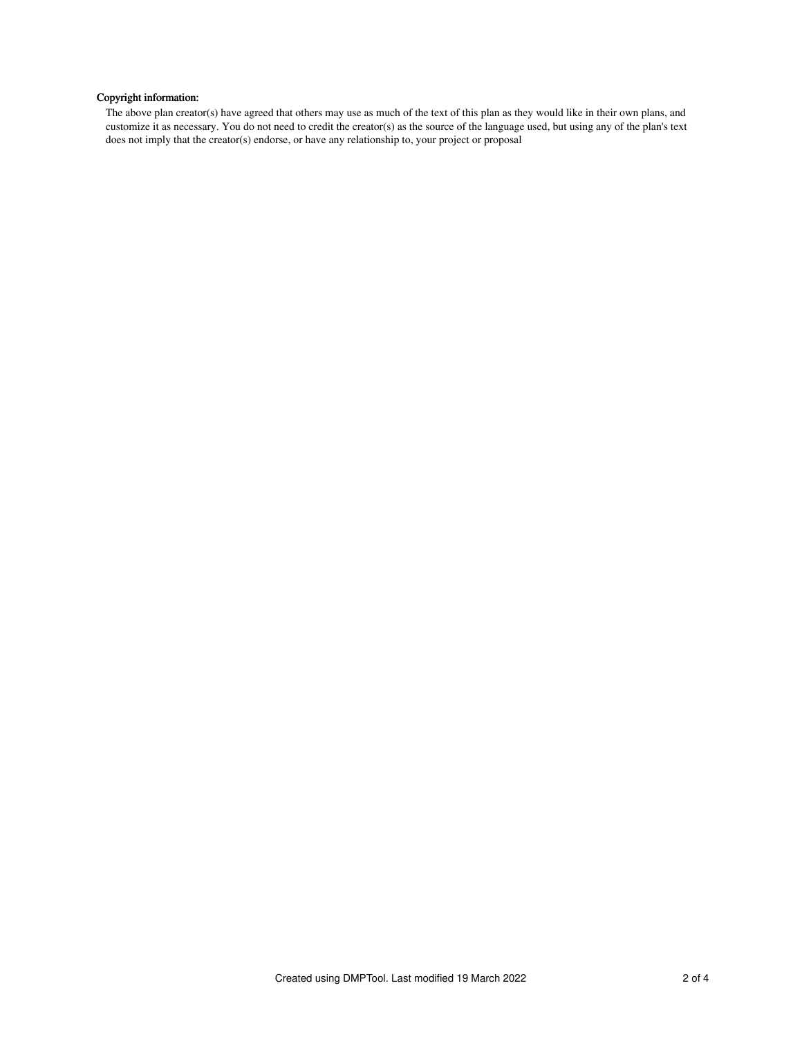# Copyright information:

The above plan creator(s) have agreed that others may use as much of the text of this plan as they would like in their own plans, and customize it as necessary. You do not need to credit the creator(s) as the source of the language used, but using any of the plan's text does not imply that the creator(s) endorse, or have any relationship to, your project or proposal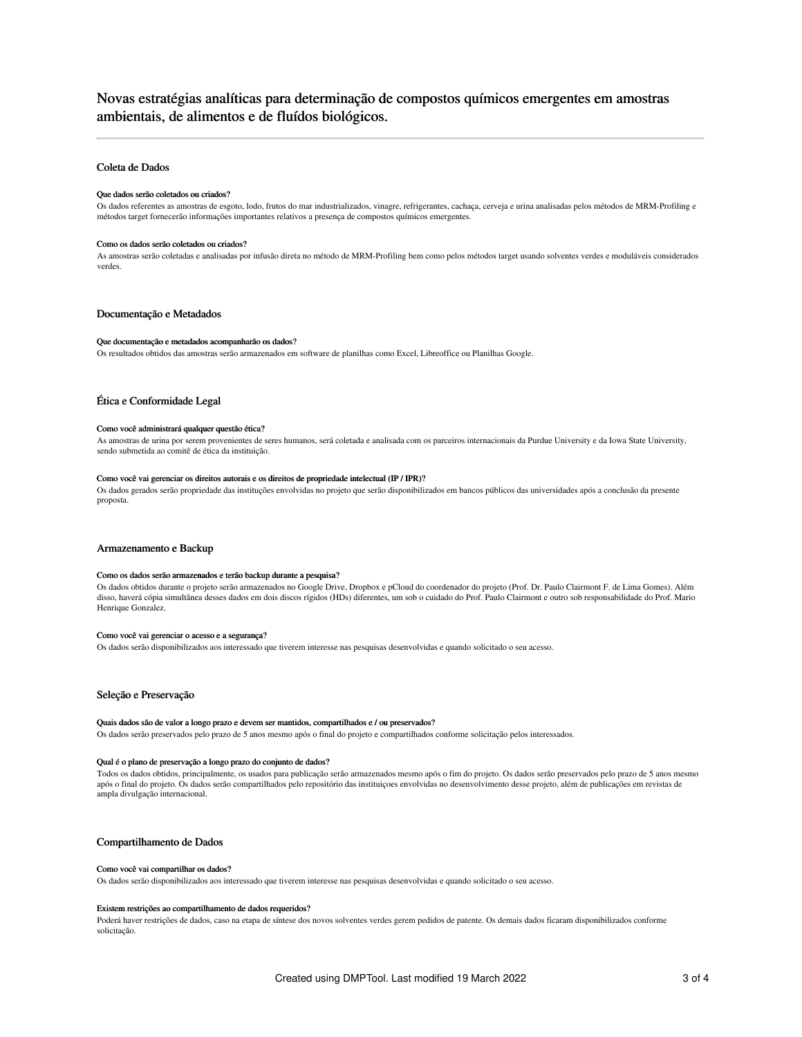# Novas estratégias analíticas para determinação de compostos químicos emergentes em amostras ambientais, de alimentos e de fluídos biológicos.

## Coleta de Dados

#### Que dados serão coletados ou criados?

Os dados referentes as amostras de esgoto, lodo, frutos do mar industrializados, vinagre, refrigerantes, cachaça, cerveja e urina analisadas pelos métodos de MRM-Profiling e métodos target fornecerão informações importantes relativos a presença de compostos químicos emergentes.

#### Como os dados serão coletados ou criados?

As amostras serão coletadas e analisadas por infusão direta no método de MRM-Profiling bem como pelos métodos target usando solventes verdes e moduláveis considerados verdes.

## Documentação e Metadados

#### Que documentação e metadados acompanharão os dados?

Os resultados obtidos das amostras serão armazenados em software de planilhas como Excel, Libreoffice ou Planilhas Google.

## Ética e Conformidade Legal

#### Como você administrará qualquer questão ética?

As amostras de urina por serem provenientes de seres humanos, será coletada e analisada com os parceiros internacionais da Purdue University e da Iowa State University, sendo submetida ao comitê de ética da instituição.

#### Como você vai gerenciar os direitos autorais e os direitos de propriedade intelectual (IP / IPR)?

Os dados gerados serão propriedade das instituções envolvidas no projeto que serão disponibilizados em bancos públicos das universidades após a conclusão da presente proposta.

## Armazenamento e Backup

#### Como os dados serão armazenados e terão backup durante a pesquisa?

Os dados obtidos durante o projeto serão armazenados no Google Drive, Dropbox e pCloud do coordenador do projeto (Prof. Dr. Paulo Clairmont F. de Lima Gomes). Além disso, haverá cópia simultânea desses dados em dois discos rígidos (HDs) diferentes, um sob o cuidado do Prof. Paulo Clairmont e outro sob responsabilidade do Prof. Mario Henrique Gonzalez.

#### Como você vai gerenciar o acesso e a segurança?

Os dados serão disponibilizados aos interessado que tiverem interesse nas pesquisas desenvolvidas e quando solicitado o seu acesso.

## Seleção e Preservação

#### Quais dados são de valor a longo prazo e devem ser mantidos, compartilhados e / ou preservados?

Os dados serão preservados pelo prazo de 5 anos mesmo após o final do projeto e compartilhados conforme solicitação pelos interessados.

#### Qual é o plano de preservação a longo prazo do conjunto de dados?

Todos os dados obtidos, principalmente, os usados para publicação serão armazenados mesmo após o fim do projeto. Os dados serão preservados pelo prazo de 5 anos mesmo após o final do projeto. Os dados serão compartilhados pelo repositório das instituiçoes envolvidas no desenvolvimento desse projeto, além de publicações em revistas de ampla divulgação internacional.

## Compartilhamento de Dados

#### Como você vai compartilhar os dados?

Os dados serão disponibilizados aos interessado que tiverem interesse nas pesquisas desenvolvidas e quando solicitado o seu acesso.

#### Existem restrições ao compartilhamento de dados requeridos?

Poderá haver restrições de dados, caso na etapa de síntese dos novos solventes verdes gerem pedidos de patente. Os demais dados ficaram disponibilizados conforme solicitação.